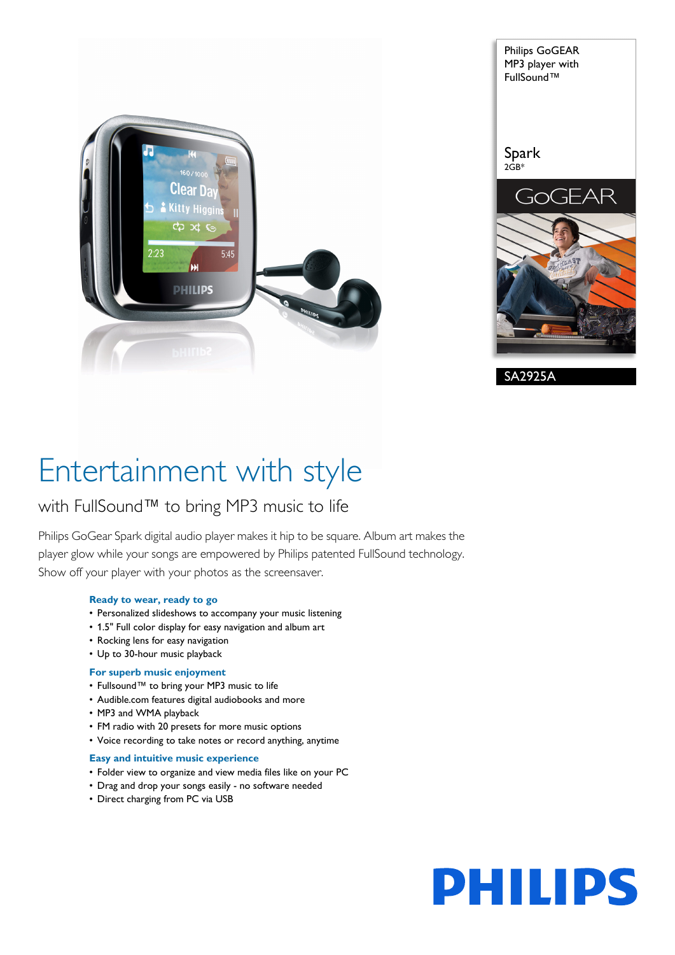



# Entertainment with style

### with FullSound™ to bring MP3 music to life

Philips GoGear Spark digital audio player makes it hip to be square. Album art makes the player glow while your songs are empowered by Philips patented FullSound technology. Show off your player with your photos as the screensaver.

#### **Ready to wear, ready to go**

- Personalized slideshows to accompany your music listening
- 1.5" Full color display for easy navigation and album art
- Rocking lens for easy navigation
- Up to 30-hour music playback

#### **For superb music enjoyment**

- Fullsound™ to bring your MP3 music to life
- Audible.com features digital audiobooks and more
- MP3 and WMA playback
- FM radio with 20 presets for more music options
- Voice recording to take notes or record anything, anytime

#### **Easy and intuitive music experience**

- Folder view to organize and view media files like on your PC
- Drag and drop your songs easily no software needed
- Direct charging from PC via USB

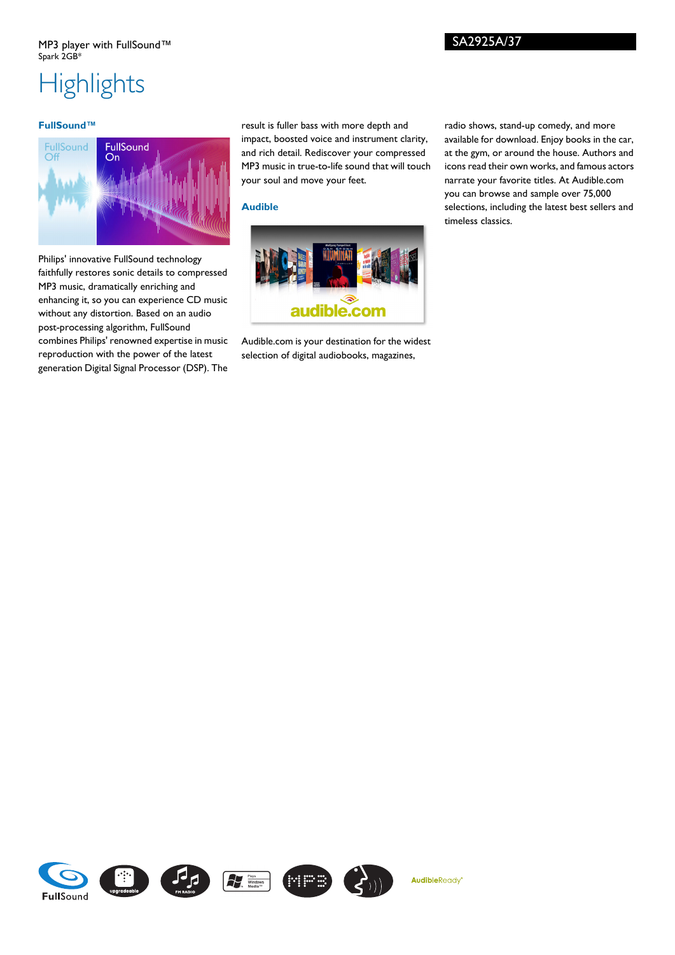## **Highlights**

#### **FullSound™**



Philips' innovative FullSound technology faithfully restores sonic details to compressed MP3 music, dramatically enriching and enhancing it, so you can experience CD music without any distortion. Based on an audio post-processing algorithm, FullSound combines Philips' renowned expertise in music reproduction with the power of the latest generation Digital Signal Processor (DSP). The

result is fuller bass with more depth and impact, boosted voice and instrument clarity, and rich detail. Rediscover your compressed MP3 music in true-to-life sound that will touch your soul and move your feet.

#### **Audible**



Audible.com is your destination for the widest selection of digital audiobooks, magazines,

AudibleReady

radio shows, stand-up comedy, and more available for download. Enjoy books in the car, at the gym, or around the house. Authors and icons read their own works, and famous actors narrate your favorite titles. At Audible.com you can browse and sample over 75,000 selections, including the latest best sellers and timeless classics.

SA2925A/37